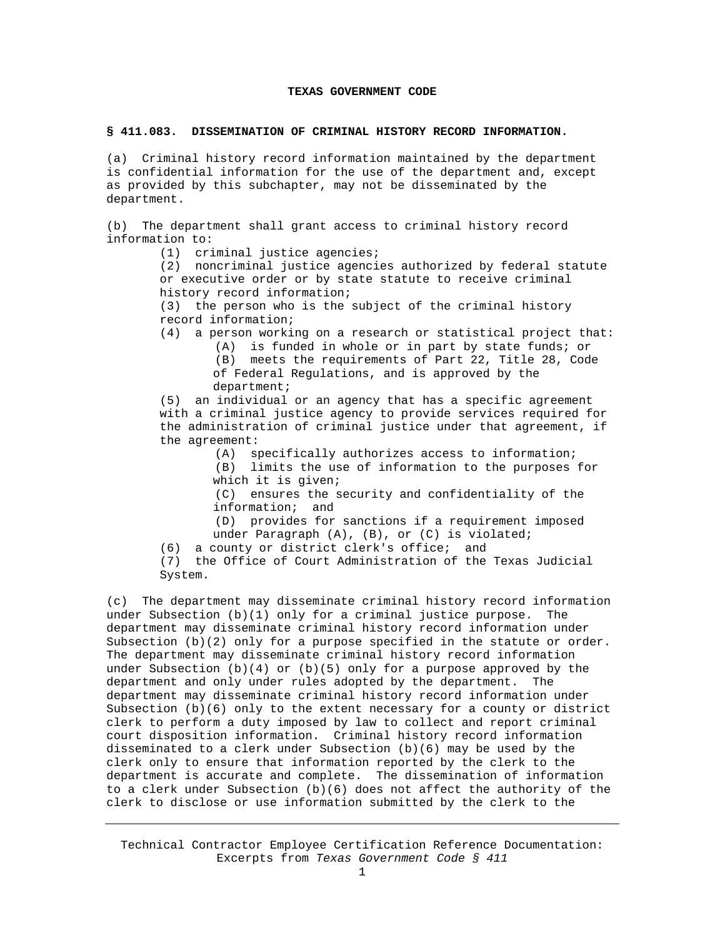## **TEXAS GOVERNMENT CODE**

## **§ 411.083. DISSEMINATION OF CRIMINAL HISTORY RECORD INFORMATION.**

(a) Criminal history record information maintained by the department is confidential information for the use of the department and, except as provided by this subchapter, may not be disseminated by the department.

(b) The department shall grant access to criminal history record information to:

(1) criminal justice agencies;

 (2) noncriminal justice agencies authorized by federal statute or executive order or by state statute to receive criminal history record information;

 (3) the person who is the subject of the criminal history record information;

 (4) a person working on a research or statistical project that: (A) is funded in whole or in part by state funds; or

> (B) meets the requirements of Part 22, Title 28, Code of Federal Regulations, and is approved by the department;

 (5) an individual or an agency that has a specific agreement with a criminal justice agency to provide services required for the administration of criminal justice under that agreement, if the agreement:

> (A) specifically authorizes access to information; (B) limits the use of information to the purposes for which it is given;

 (C) ensures the security and confidentiality of the information; and

 (D) provides for sanctions if a requirement imposed under Paragraph (A), (B), or (C) is violated;

(6) a county or district clerk's office; and

 (7) the Office of Court Administration of the Texas Judicial System.

(c) The department may disseminate criminal history record information under Subsection  $(b)(1)$  only for a criminal justice purpose. The department may disseminate criminal history record information under Subsection (b)(2) only for a purpose specified in the statute or order. The department may disseminate criminal history record information under Subsection  $(b)(4)$  or  $(b)(5)$  only for a purpose approved by the department and only under rules adopted by the department. The department may disseminate criminal history record information under Subsection (b)(6) only to the extent necessary for a county or district clerk to perform a duty imposed by law to collect and report criminal court disposition information. Criminal history record information disseminated to a clerk under Subsection (b)(6) may be used by the clerk only to ensure that information reported by the clerk to the department is accurate and complete. The dissemination of information to a clerk under Subsection  $(b)(6)$  does not affect the authority of the clerk to disclose or use information submitted by the clerk to the

Technical Contractor Employee Certification Reference Documentation: Excerpts from *Texas Government Code § 411*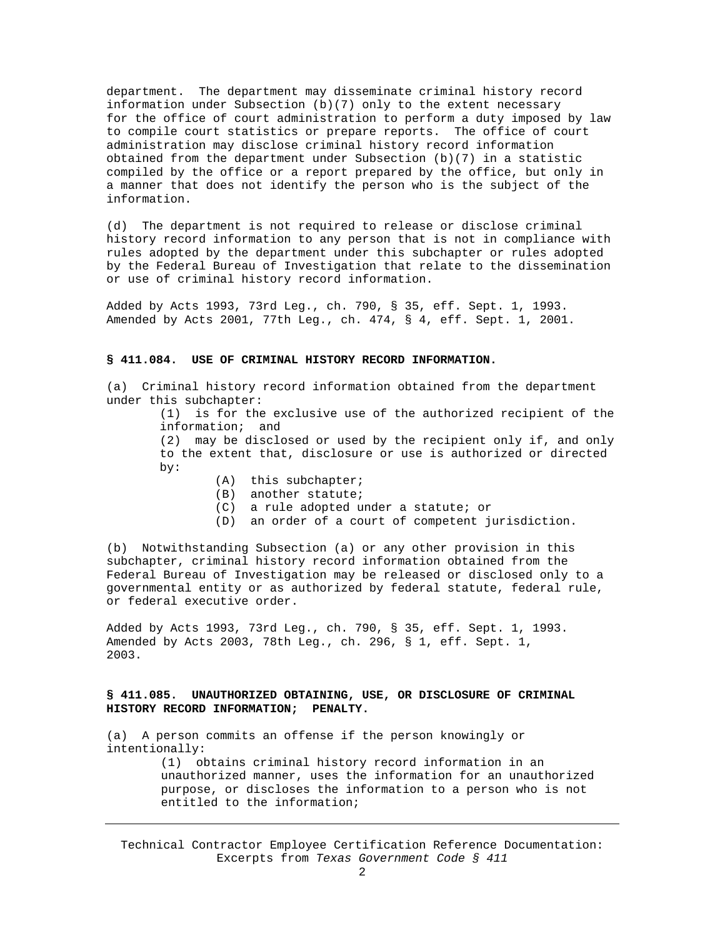department. The department may disseminate criminal history record information under Subsection  $(b)(7)$  only to the extent necessary for the office of court administration to perform a duty imposed by law to compile court statistics or prepare reports. The office of court administration may disclose criminal history record information obtained from the department under Subsection (b)(7) in a statistic compiled by the office or a report prepared by the office, but only in a manner that does not identify the person who is the subject of the information.

(d) The department is not required to release or disclose criminal history record information to any person that is not in compliance with rules adopted by the department under this subchapter or rules adopted by the Federal Bureau of Investigation that relate to the dissemination or use of criminal history record information.

Added by Acts 1993, 73rd Leg., ch. 790, § 35, eff. Sept. 1, 1993. Amended by Acts 2001, 77th Leg., ch. 474, § 4, eff. Sept. 1, 2001.

## **§ 411.084. USE OF CRIMINAL HISTORY RECORD INFORMATION.**

(a) Criminal history record information obtained from the department under this subchapter:

> (1) is for the exclusive use of the authorized recipient of the information; and

> (2) may be disclosed or used by the recipient only if, and only to the extent that, disclosure or use is authorized or directed by:

- (A) this subchapter;
- (B) another statute;
- (C) a rule adopted under a statute; or
- (D) an order of a court of competent jurisdiction.

(b) Notwithstanding Subsection (a) or any other provision in this subchapter, criminal history record information obtained from the Federal Bureau of Investigation may be released or disclosed only to a governmental entity or as authorized by federal statute, federal rule, or federal executive order.

Added by Acts 1993, 73rd Leg., ch. 790, § 35, eff. Sept. 1, 1993. Amended by Acts 2003, 78th Leg., ch. 296, § 1, eff. Sept. 1, 2003.

## **§ 411.085. UNAUTHORIZED OBTAINING, USE, OR DISCLOSURE OF CRIMINAL HISTORY RECORD INFORMATION; PENALTY.**

(a) A person commits an offense if the person knowingly or intentionally:

> (1) obtains criminal history record information in an unauthorized manner, uses the information for an unauthorized purpose, or discloses the information to a person who is not entitled to the information;

Technical Contractor Employee Certification Reference Documentation: Excerpts from *Texas Government Code § 411*